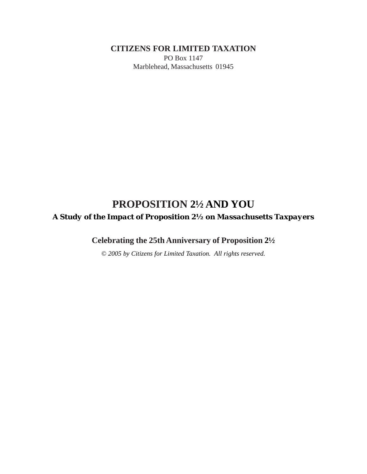**CITIZENS FOR LIMITED TAXATION**

PO Box 1147 Marblehead, Massachusetts 01945

# **PROPOSITION 2½ AND YOU** *A Study of the Impact of Proposition 2½ on Massachusetts Taxpayers*

**Celebrating the 25th Anniversary of Proposition 2½**

*© 2005 by Citizens for Limited Taxation. All rights reserved.*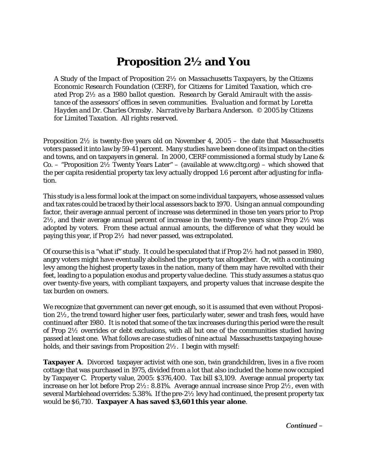# **Proposition 2½ and You**

*A Study of the Impact of Proposition 2½ on Massachusetts Taxpayers, by the Citizens Economic Research Foundation (CERF), for Citizens for Limited Taxation, which created Prop 2½ as a 1980 ballot question. Research by Gerald Amirault with the assistance of the assessors' offices in seven communities. Evaluation and format by Loretta Hayden and Dr. Charles Ormsby. Narrative by Barbara Anderson. © 2005 by Citizens for Limited Taxation. All rights reserved.*

Proposition  $2\frac{1}{2}$  is twenty-five years old on November 4, 2005 – the date that Massachusetts voters passed it into law by 59-41 percent. Many studies have been done of its impact on the cities and towns, and on taxpayers in general. In 2000, CERF commissioned a formal study by Lane & Co. – "Proposition  $2\frac{1}{2}$  Twenty Years Later" – (available at www.cltg.org) – which showed that the per capita residential property tax levy actually dropped 1.6 percent after adjusting for inflation.

This study is a less formal look at the impact on some individual taxpayers, whose assessed values and tax rates could be traced by their local assessors back to 1970. Using an annual compounding factor, their average annual percent of increase was determined in those ten years prior to Prop  $2\frac{1}{2}$ , and their average annual percent of increase in the twenty-five years since Prop  $2\frac{1}{2}$  was adopted by voters. From these actual annual amounts, the difference of what they would be paying this year, if Prop 2½ had never passed, was extrapolated.

Of course this is a "what if" study. It could be speculated that if Prop  $2\frac{1}{2}$  had not passed in 1980, angry voters might have eventually abolished the property tax altogether. Or, with a continuing levy among the highest property taxes in the nation, many of them may have revolted with their feet, leading to a population exodus and property value decline. This study assumes a status quo over twenty-five years, with compliant taxpayers, and property values that increase despite the tax burden on owners.

We recognize that government can never get enough, so it is assumed that even without Proposition 2½, the trend toward higher user fees, particularly water, sewer and trash fees, would have continued after 1980. It is noted that some of the tax increases during this period were the result of Prop  $2\frac{1}{2}$  overrides or debt exclusions, with all but one of the communities studied having passed at least one. What follows are case studies of nine actual Massachusetts taxpaying households, and their savings from Proposition 2½. I begin with myself:

**Taxpayer A**. Divorced taxpayer activist with one son, twin grandchildren, lives in a five room cottage that was purchased in 1975, divided from a lot that also included the home now occupied by Taxpayer C. Property value, 2005: \$376,400. Tax bill \$3,109. Average annual property tax increase on her lot before Prop  $2\frac{1}{2}$ : 8.81%. Average annual increase since Prop  $2\frac{1}{2}$ , even with several Marblehead overrides: 5.38%. If the pre-2½ levy had continued, the present property tax would be \$6,710. **Taxpayer A has saved \$3,601 this year alone**.

*Continued* –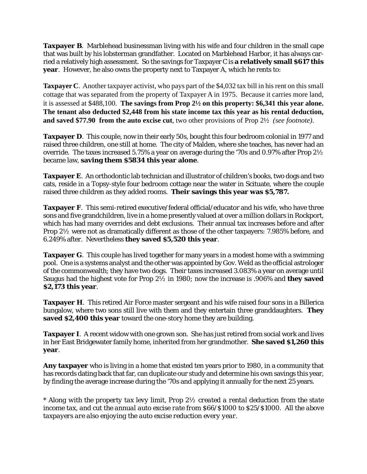**Taxpayer B**. Marblehead businessman living with his wife and four children in the small cape that was built by his lobsterman grandfather. Located on Marblehead Harbor, it has always carried a relatively high assessment. So the savings for Taxpayer C is **a relatively small \$617 this year**. However, he also owns the property next to Taxpayer A, which he rents to:

**Taxpayer C**. Another taxpayer activist, who pays part of the \$4,032 tax bill in his rent on this small cottage that was separated from the property of Taxpayer A in 1975. Because it carries more land, it is assessed at \$488,100. **The savings from Prop 2½ on this property: \$6,341 this year alone. The tenant also deducted \$2,448 from his state income tax this year as his rental deduction, and saved \$77.90 from the auto excise cut**, two other provisions of Prop 2½ *(see footnote)*.

**Taxpayer D**. This couple, now in their early 50s, bought this four bedroom colonial in 1977 and raised three children, one still at home. The city of Malden, where she teaches, has never had an override. The taxes increased 5.75% a year on average during the '70s and 0.97% after Prop 2½ became law, **saving them \$5834 this year alone**.

**Taxpayer E**. An orthodontic lab technician and illustrator of children's books, two dogs and two cats, reside in a Topsy-style four bedroom cottage near the water in Scituate, where the couple raised three children as they added rooms. **Their savings this year was \$5,787.**

**Taxpayer F**. This semi-retired executive/federal official/educator and his wife, who have three sons and five grandchildren, live in a home presently valued at over a million dollars in Rockport, which has had many overrides and debt exclusions. Their annual tax increases before and after Prop 2½ were not as dramatically different as those of the other taxpayers: 7.985% before, and 6.249% after. Nevertheless **they saved \$5,520 this year**.

**Taxpayer G**. This couple has lived together for many years in a modest home with a swimming pool. One is a systems analyst and the other was appointed by Gov. Weld as the official astrologer of the commonwealth; they have two dogs. Their taxes increased 3.083% a year on average until Saugus had the highest vote for Prop 2½ in 1980; now the increase is .906% and **they saved \$2,173 this year**.

**Taxpayer H**. This retired Air Force master sergeant and his wife raised four sons in a Billerica bungalow, where two sons still live with them and they entertain three granddaughters. **They saved \$2,400 this year** toward the one-story home they are building.

**Taxpayer I**. A recent widow with one grown son. She has just retired from social work and lives in her East Bridgewater family home, inherited from her grandmother. **She saved \$1,260 this year**.

**Any taxpayer** who is living in a home that existed ten years prior to 1980, in a community that has records dating back that far, can duplicate our study and determine his own savings this year, by finding the average increase during the '70s and applying it annually for the next 25 years.

\* *Along with the property tax levy limit*, *Prop 2½ created a rental deduction from the state income tax, and cut the annual auto excise rate from \$66/\$1000 to \$25/\$1000. All the above taxpayers are also enjoying the auto excise reduction every year.*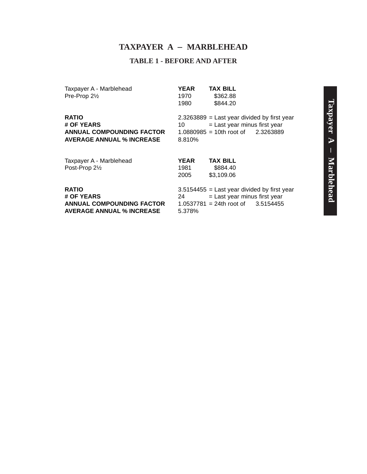#### **TAXPAYER A** – **MARBLEHEAD**

#### **TABLE 1 - BEFORE AND AFTER**

Taxpayer A - Marblehead **YEAR TAX BILL**<br>Pre-Prop 2<sup>1</sup>/<sub>2</sub> *Pre-Prop* 2<sup>1</sup>/<sub>2</sub> *M*<sub>2</sub> *S* 362.88 Pre-Prop  $2\frac{1}{2}$ 

1980 \$844.20

**ANNUAL COMPOUNDING FACTOR AVERAGE ANNUAL % INCREASE** 8.810%

**RATIO** 2.3263889 = Last year divided by first year **# OF YEARS** 10 = Last year minus first year<br> **ANNUAL COMPOUNDING FACTOR** 1.0880985 = 10th root of 2.3263889

| Taxpayer A - Marblehead | <b>YEAR</b> | <b>TAX BILL</b>                 |
|-------------------------|-------------|---------------------------------|
| Post-Prop 21/2          | 1981        | \$884.40                        |
|                         | 2005        | \$3,109.06                      |
| <b>RATIO</b>            |             | $3.5154455$ = Last year divided |
| $\overline{a}$ of veaps |             |                                 |

**AVERAGE ANNUAL % INCREASE** 5.378%

by first year # OF YEARS 24 = Last year minus first year **ANNUAL COMPOUNDING FACTOR** 1.0537781 = 24th root of 3.5154455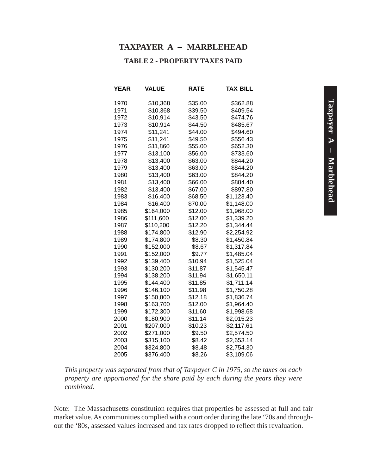#### **TAXPAYER A** – **MARBLEHEAD**

#### **TABLE 2 - PROPERTY TAXES PAID**

| YEAR | VALUE     | RATE    | TAX BILL   |
|------|-----------|---------|------------|
| 1970 | \$10,368  | \$35.00 | \$362.88   |
| 1971 | \$10,368  | \$39.50 | \$409.54   |
| 1972 | \$10,914  | \$43.50 | \$474.76   |
| 1973 | \$10,914  | \$44.50 | \$485.67   |
| 1974 | \$11,241  | \$44.00 | \$494.60   |
| 1975 | \$11,241  | \$49.50 | \$556.43   |
| 1976 | \$11,860  | \$55.00 | \$652.30   |
| 1977 | \$13,100  | \$56.00 | \$733.60   |
| 1978 | \$13,400  | \$63.00 | \$844.20   |
| 1979 | \$13,400  | \$63.00 | \$844.20   |
| 1980 | \$13,400  | \$63.00 | \$844.20   |
| 1981 | \$13,400  | \$66.00 | \$884.40   |
| 1982 | \$13,400  | \$67.00 | \$897.80   |
| 1983 | \$16,400  | \$68.50 | \$1,123.40 |
| 1984 | \$16,400  | \$70.00 | \$1,148.00 |
| 1985 | \$164,000 | \$12.00 | \$1,968.00 |
| 1986 | \$111,600 | \$12.00 | \$1,339.20 |
| 1987 | \$110,200 | \$12.20 | \$1,344.44 |
| 1988 | \$174,800 | \$12.90 | \$2,254.92 |
| 1989 | \$174,800 | \$8.30  | \$1,450.84 |
| 1990 | \$152,000 | \$8.67  | \$1,317.84 |
| 1991 | \$152,000 | \$9.77  | \$1,485.04 |
| 1992 | \$139,400 | \$10.94 | \$1,525.04 |
| 1993 | \$130,200 | \$11.87 | \$1,545.47 |
| 1994 | \$138,200 | \$11.94 | \$1,650.11 |
| 1995 | \$144,400 | \$11.85 | \$1,711.14 |
| 1996 | \$146,100 | \$11.98 | \$1,750.28 |
| 1997 | \$150,800 | \$12.18 | \$1,836.74 |
| 1998 | \$163,700 | \$12.00 | \$1,964.40 |
| 1999 | \$172,300 | \$11.60 | \$1,998.68 |
| 2000 | \$180,900 | \$11.14 | \$2,015.23 |
| 2001 | \$207,000 | \$10.23 | \$2,117.61 |
| 2002 | \$271,000 | \$9.50  | \$2,574.50 |
| 2003 | \$315,100 | \$8.42  | \$2,653.14 |
| 2004 | \$324,800 | \$8.48  | \$2,754.30 |
| 2005 | \$376,400 | \$8.26  | \$3,109.06 |

*This property was separated from that of Taxpayer C in 1975, so the taxes on each property are apportioned for the share paid by each during the years they were combined.*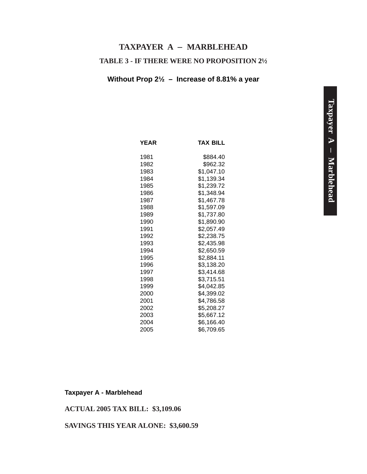# **TABLE 3 - IF THERE WERE NO PROPOSITION 2½ TAXPAYER A** – **MARBLEHEAD**

#### **Without Prop 2½ – Increase of 8.81% a year**

| <b>YEAR</b> | TAX BILL   |
|-------------|------------|
| 1981        | \$884.40   |
| 1982        | \$962.32   |
| 1983        | \$1,047.10 |
| 1984        | \$1,139.34 |
| 1985        | \$1,239.72 |
| 1986        | \$1,348.94 |
| 1987        | \$1,467.78 |
| 1988        | \$1,597.09 |
| 1989        | \$1,737.80 |
| 1990        | \$1,890.90 |
| 1991        | \$2,057.49 |
| 1992        | \$2,238.75 |
| 1993        | \$2,435.98 |
| 1994        | \$2,650.59 |
| 1995        | \$2,884.11 |
| 1996        | \$3,138.20 |
| 1997        | \$3,414.68 |
| 1998        | \$3,715.51 |
| 1999        | \$4,042.85 |
| 2000        | \$4,399.02 |
| 2001        | \$4,786.58 |
| 2002        | \$5,208.27 |
| 2003        | \$5,667.12 |
| 2004        | \$6,166.40 |
| 2005        | \$6,709.65 |

#### **Taxpayer A - Marblehead**

#### **ACTUAL 2005 TAX BILL: \$3,109.06**

#### **SAVINGS THIS YEAR ALONE: \$3,600.59**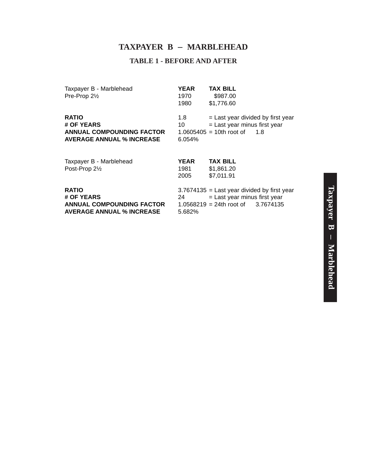# **TAXPAYER B** – **MARBLEHEAD**

#### **TABLE 1 - BEFORE AND AFTER**

| Taxpayer B - Marblehead<br>Pre-Prop 21/2                                                           | <b>YEAR</b><br>1970<br>1980 | <b>TAX BILL</b><br>\$987.00<br>\$1,776.60                                                                                |
|----------------------------------------------------------------------------------------------------|-----------------------------|--------------------------------------------------------------------------------------------------------------------------|
| <b>RATIO</b><br># OF YEARS<br><b>ANNUAL COMPOUNDING FACTOR</b><br><b>AVERAGE ANNUAL % INCREASE</b> | 1.8<br>10<br>6.054%         | = Last year divided by first year<br>$=$ Last year minus first year<br>$1.0605405 = 10$ th root of<br>1.8                |
| Taxpayer B - Marblehead<br>Post-Prop 21/2                                                          | <b>YEAR</b><br>1981<br>2005 | <b>TAX BILL</b><br>\$1,861.20<br>\$7,011.91                                                                              |
| <b>RATIO</b><br># OF YEARS<br><b>ANNUAL COMPOUNDING FACTOR</b><br><b>AVERAGE ANNUAL % INCREASE</b> | 24<br>5.682%                | $3.7674135$ = Last year divided by first year<br>$=$ Last year minus first year<br>$1.0568219 = 24$ th root of 3.7674135 |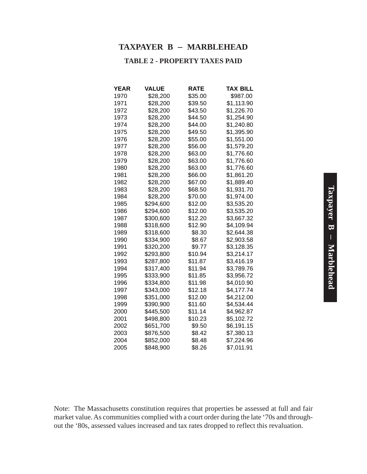#### **TAXPAYER B** – **MARBLEHEAD**

#### **TABLE 2 - PROPERTY TAXES PAID**

| YEAR | <b>VALUE</b> | RATE    | <b>TAX BILL</b> |
|------|--------------|---------|-----------------|
| 1970 | \$28,200     | \$35.00 | \$987.00        |
| 1971 | \$28,200     | \$39.50 | \$1,113.90      |
| 1972 | \$28,200     | \$43.50 | \$1,226.70      |
| 1973 | \$28,200     | \$44.50 | \$1,254.90      |
| 1974 | \$28,200     | \$44.00 | \$1,240.80      |
| 1975 | \$28,200     | \$49.50 | \$1,395.90      |
| 1976 | \$28,200     | \$55.00 | \$1,551.00      |
| 1977 | \$28,200     | \$56.00 | \$1,579.20      |
| 1978 | \$28,200     | \$63.00 | \$1,776.60      |
| 1979 | \$28,200     | \$63.00 | \$1,776.60      |
| 1980 | \$28,200     | \$63.00 | \$1,776.60      |
| 1981 | \$28,200     | \$66.00 | \$1,861.20      |
| 1982 | \$28,200     | \$67.00 | \$1,889.40      |
| 1983 | \$28,200     | \$68.50 | \$1,931.70      |
| 1984 | \$28,200     | \$70.00 | \$1,974.00      |
| 1985 | \$294,600    | \$12.00 | \$3,535.20      |
| 1986 | \$294,600    | \$12.00 | \$3,535.20      |
| 1987 | \$300,600    | \$12.20 | \$3,667.32      |
| 1988 | \$318,600    | \$12.90 | \$4,109.94      |
| 1989 | \$318,600    | \$8.30  | \$2,644.38      |
| 1990 | \$334,900    | \$8.67  | \$2,903.58      |
| 1991 | \$320,200    | \$9.77  | \$3,128.35      |
| 1992 | \$293,800    | \$10.94 | \$3,214.17      |
| 1993 | \$287,800    | \$11.87 | \$3,416.19      |
| 1994 | \$317,400    | \$11.94 | \$3,789.76      |
| 1995 | \$333,900    | \$11.85 | \$3,956.72      |
| 1996 | \$334,800    | \$11.98 | \$4,010.90      |
| 1997 | \$343,000    | \$12.18 | \$4,177.74      |
| 1998 | \$351,000    | \$12.00 | \$4,212.00      |
| 1999 | \$390,900    | \$11.60 | \$4,534.44      |
| 2000 | \$445,500    | \$11.14 | \$4,962.87      |
| 2001 | \$498,800    | \$10.23 | \$5,102.72      |
| 2002 | \$651,700    | \$9.50  | \$6,191.15      |
| 2003 | \$876,500    | \$8.42  | \$7,380.13      |
| 2004 | \$852,000    | \$8.48  | \$7,224.96      |
| 2005 | \$848,900    | \$8.26  | \$7,011.91      |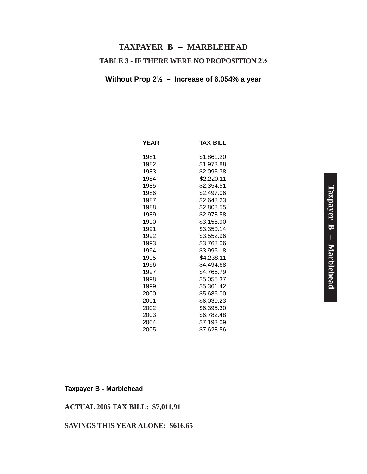# **TABLE 3 - IF THERE WERE NO PROPOSITION 2½ TAXPAYER B** – **MARBLEHEAD**

#### **Without Prop 2½ – Increase of 6.054% a year**

| <b>YEAR</b> | <b>TAX BILL</b> |
|-------------|-----------------|
| 1981        | \$1,861.20      |
| 1982        | \$1,973.88      |
| 1983        | \$2,093.38      |
| 1984        | \$2,220.11      |
| 1985        | \$2,354.51      |
| 1986        | \$2,497.06      |
| 1987        | \$2,648.23      |
| 1988        | \$2,808.55      |
| 1989        | \$2,978.58      |
| 1990        | \$3,158.90      |
| 1991        | \$3,350.14      |
| 1992        | \$3,552.96      |
| 1993        | \$3,768.06      |
| 1994        | \$3,996.18      |
| 1995        | \$4,238.11      |
| 1996        | \$4,494.68      |
| 1997        | \$4,766.79      |
| 1998        | \$5,055.37      |
| 1999        | \$5,361.42      |
| 2000        | \$5,686.00      |
| 2001        | \$6,030.23      |
| 2002        | \$6,395.30      |
| 2003        | \$6,782.48      |
| 2004        | \$7,193.09      |
| 2005        | \$7,628.56      |

#### **Taxpayer B - Marblehead**

#### **ACTUAL 2005 TAX BILL: \$7,011.91**

#### **SAVINGS THIS YEAR ALONE: \$616.65**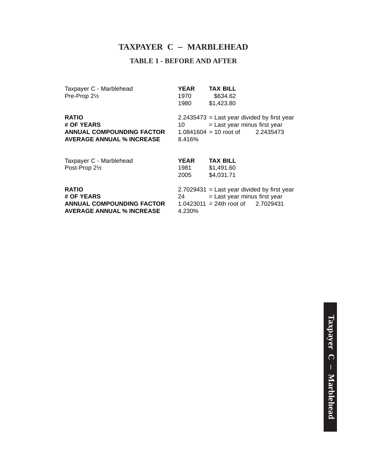#### **TAXPAYER C** – **MARBLEHEAD**

#### **TABLE 1 - BEFORE AND AFTER**

| Taxpayer C - Marblehead | <b>YEAR</b> | <b>TAX BILL</b> |  |
|-------------------------|-------------|-----------------|--|
| Pre-Prop $2\frac{1}{2}$ | 1970        | \$634.62        |  |
|                         | 1980        | \$1.423.80      |  |
|                         |             |                 |  |

**ANNUAL COMPOUNDING FACTOR AVERAGE ANNUAL % INCREASE** 8.416%

**RATIO** 2.2435473 = Last year divided by first year<br> **# OF YEARS**  $\begin{array}{r} 2.2435473 =$  Last year minus first year  $10 =$  Last year minus first year<br> $1.0841604 = 10$  root of  $2.2435473$ 

| Taxpayer C - Marblehead<br>Post-Prop 21/2                                                          | <b>YEAR</b><br>1981<br>2005 | <b>TAX BILL</b><br>\$1,491.60<br>\$4,031.71                                                                              |  |
|----------------------------------------------------------------------------------------------------|-----------------------------|--------------------------------------------------------------------------------------------------------------------------|--|
| <b>RATIO</b><br># OF YEARS<br><b>ANNUAL COMPOUNDING FACTOR</b><br><b>AVERAGE ANNUAL % INCREASE</b> | 24<br>4.230%                | $2.7029431$ = Last year divided by first year<br>$=$ Last year minus first year<br>$1.0423011 = 24$ th root of 2.7029431 |  |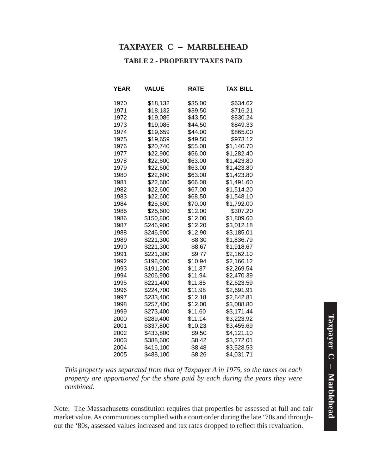#### **TAXPAYER C** – **MARBLEHEAD**

#### **TABLE 2 - PROPERTY TAXES PAID**

| YEAR | <b>VALUE</b> | RATE    | TAX BILL   |
|------|--------------|---------|------------|
| 1970 | \$18,132     | \$35.00 | \$634.62   |
| 1971 | \$18,132     | \$39.50 | \$716.21   |
| 1972 | \$19,086     | \$43.50 | \$830.24   |
| 1973 | \$19,086     | \$44.50 | \$849.33   |
| 1974 | \$19,659     | \$44.00 | \$865.00   |
| 1975 | \$19,659     | \$49.50 | \$973.12   |
| 1976 | \$20,740     | \$55.00 | \$1,140.70 |
| 1977 | \$22,900     | \$56.00 | \$1,282.40 |
| 1978 | \$22,600     | \$63.00 | \$1,423.80 |
| 1979 | \$22,600     | \$63.00 | \$1,423.80 |
| 1980 | \$22,600     | \$63.00 | \$1,423.80 |
| 1981 | \$22,600     | \$66.00 | \$1,491.60 |
| 1982 | \$22,600     | \$67.00 | \$1,514.20 |
| 1983 | \$22,600     | \$68.50 | \$1,548.10 |
| 1984 | \$25,600     | \$70.00 | \$1,792.00 |
| 1985 | \$25,600     | \$12.00 | \$307.20   |
| 1986 | \$150,800    | \$12.00 | \$1,809.60 |
| 1987 | \$246,900    | \$12.20 | \$3,012.18 |
| 1988 | \$246,900    | \$12.90 | \$3,185.01 |
| 1989 | \$221,300    | \$8.30  | \$1,836.79 |
| 1990 | \$221,300    | \$8.67  | \$1,918.67 |
| 1991 | \$221,300    | \$9.77  | \$2,162.10 |
| 1992 | \$198,000    | \$10.94 | \$2,166.12 |
| 1993 | \$191,200    | \$11.87 | \$2,269.54 |
| 1994 | \$206,900    | \$11.94 | \$2,470.39 |
| 1995 | \$221,400    | \$11.85 | \$2,623.59 |
| 1996 | \$224,700    | \$11.98 | \$2,691.91 |
| 1997 | \$233,400    | \$12.18 | \$2,842.81 |
| 1998 | \$257,400    | \$12.00 | \$3,088.80 |
| 1999 | \$273,400    | \$11.60 | \$3,171.44 |
| 2000 | \$289,400    | \$11.14 | \$3,223.92 |
| 2001 | \$337,800    | \$10.23 | \$3,455.69 |
| 2002 | \$433,800    | \$9.50  | \$4,121.10 |
| 2003 | \$388,600    | \$8.42  | \$3,272.01 |
| 2004 | \$416,100    | \$8.48  | \$3,528.53 |
| 2005 | \$488,100    | \$8.26  | \$4,031.71 |

*This property was separated from that of Taxpayer A in 1975, so the taxes on each property are apportioned for the share paid by each during the years they were combined.*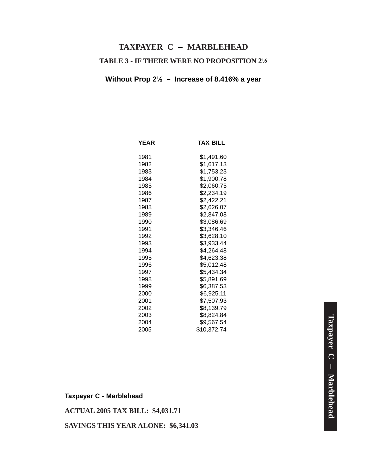# **TABLE 3 - IF THERE WERE NO PROPOSITION 2½ TAXPAYER C** – **MARBLEHEAD**

#### **Without Prop 2½ – Increase of 8.416% a year**

| <b>YEAR</b> | TAX BILL    |
|-------------|-------------|
| 1981        | \$1,491.60  |
| 1982        | \$1,617.13  |
| 1983        | \$1,753.23  |
| 1984        | \$1,900.78  |
| 1985        | \$2,060.75  |
| 1986        | \$2,234.19  |
| 1987        | \$2,422.21  |
| 1988        | \$2,626.07  |
| 1989        | \$2,847.08  |
| 1990        | \$3,086.69  |
| 1991        | \$3,346.46  |
| 1992        | \$3,628.10  |
| 1993        | \$3,933.44  |
| 1994        | \$4,264.48  |
| 1995        | \$4,623.38  |
| 1996        | \$5,012.48  |
| 1997        | \$5,434.34  |
| 1998        | \$5,891.69  |
| 1999        | \$6,387.53  |
| 2000        | \$6,925.11  |
| 2001        | \$7,507.93  |
| 2002        | \$8,139.79  |
| 2003        | \$8,824.84  |
| 2004        | \$9,567.54  |
| 2005        | \$10,372.74 |

**ACTUAL 2005 TAX BILL: \$4,031.71**

**SAVINGS THIS YEAR ALONE: \$6,341.03**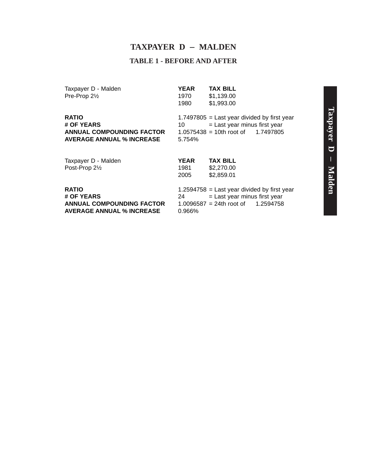#### **TAXPAYER D** – **MALDEN**

#### **TABLE 1 - BEFORE AND AFTER**

Taxpayer D - Malden **YEAR TAX BILL**<br>Pre-Prop 2<sup>1</sup>/<sub>2</sub> *Pre-Prop* 2<sup>1</sup>/<sub>2</sub> *Pre-Prop* 2<sup>1</sup>/<sub>2</sub> *Pre-Prop* 2<sup>1</sup>/<sub>2</sub> *Pre-Prop* 2<sup>1</sup>/<sub>2</sub> *Pre-Prop* 2<sup>1</sup>/<sub>2</sub> *Pre-Prop* 2<sup>1</sup>/<sub>2</sub> *Pre-Prop* 2<sup>1</sup>/<sub>2</sub> *Pre-Prop* 2<sup>1</sup>/<sub>2</sub> *Pre-Pro*  $Pre-Prop 2<sub>2</sub>$ 

1980 \$1,993.00

**ANNUAL COMPOUNDING FACTOR AVERAGE ANNUAL % INCREASE** 5.754%

**RATIO**<br>  $\text{P} = \text{Last year}$  1.7497805 = Last year divided by first year<br>  $\text{P} = \text{Last year}$  minus first year  $10 =$  Last year minus first year<br> $1.0575438 = 10$ th root of  $1.7497805$ 

| Taxpayer D - Malden | <b>YEAR</b> | <b>TAX BILL</b>                        |
|---------------------|-------------|----------------------------------------|
| Post-Prop 21/2      | 1981        | \$2,270.00                             |
|                     | 2005        | \$2,859.01                             |
| <b>RATIO</b>        |             | 1.2594758 = Last year divided by first |
| # OF YEARS          | 24          | $=$ Last year minus first year         |

**AVERAGE ANNUAL % INCREASE** 0.966%

first year **ANNUAL COMPOUNDING FACTOR** 1.0096587 = 24th root of 1.2594758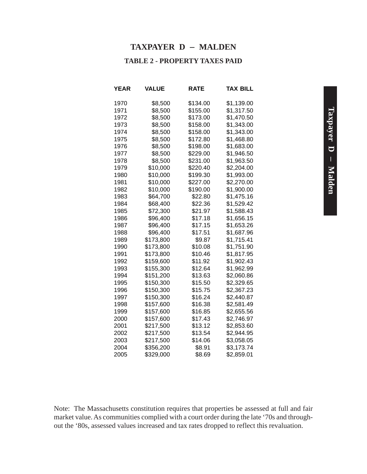#### **TAXPAYER D** – **MALDEN**

#### **TABLE 2 - PROPERTY TAXES PAID**

| YEAR | VALUE     | RATE     | TAX BILL   |
|------|-----------|----------|------------|
| 1970 | \$8,500   | \$134.00 | \$1,139.00 |
| 1971 | \$8,500   | \$155.00 | \$1,317.50 |
| 1972 | \$8,500   | \$173.00 | \$1,470.50 |
| 1973 | \$8,500   | \$158.00 | \$1,343.00 |
| 1974 | \$8,500   | \$158.00 | \$1,343.00 |
| 1975 | \$8,500   | \$172.80 | \$1,468.80 |
| 1976 | \$8,500   | \$198.00 | \$1,683.00 |
| 1977 | \$8,500   | \$229.00 | \$1,946.50 |
| 1978 | \$8,500   | \$231.00 | \$1,963.50 |
| 1979 | \$10,000  | \$220.40 | \$2,204.00 |
| 1980 | \$10,000  | \$199.30 | \$1,993.00 |
| 1981 | \$10,000  | \$227.00 | \$2,270.00 |
| 1982 | \$10,000  | \$190.00 | \$1,900.00 |
| 1983 | \$64,700  | \$22.80  | \$1,475.16 |
| 1984 | \$68,400  | \$22.36  | \$1,529.42 |
| 1985 | \$72,300  | \$21.97  | \$1,588.43 |
| 1986 | \$96,400  | \$17.18  | \$1,656.15 |
| 1987 | \$96,400  | \$17.15  | \$1,653.26 |
| 1988 | \$96,400  | \$17.51  | \$1,687.96 |
| 1989 | \$173,800 | \$9.87   | \$1,715.41 |
| 1990 | \$173,800 | \$10.08  | \$1,751.90 |
| 1991 | \$173,800 | \$10.46  | \$1,817.95 |
| 1992 | \$159,600 | \$11.92  | \$1,902.43 |
| 1993 | \$155,300 | \$12.64  | \$1,962.99 |
| 1994 | \$151,200 | \$13.63  | \$2,060.86 |
| 1995 | \$150,300 | \$15.50  | \$2,329.65 |
| 1996 | \$150,300 | \$15.75  | \$2,367.23 |
| 1997 | \$150,300 | \$16.24  | \$2,440.87 |
| 1998 | \$157,600 | \$16.38  | \$2,581.49 |
| 1999 | \$157,600 | \$16.85  | \$2,655.56 |
| 2000 | \$157,600 | \$17.43  | \$2,746.97 |
| 2001 | \$217,500 | \$13.12  | \$2,853.60 |
| 2002 | \$217,500 | \$13.54  | \$2,944.95 |
| 2003 | \$217,500 | \$14.06  | \$3,058.05 |
| 2004 | \$356,200 | \$8.91   | \$3,173.74 |
| 2005 | \$329,000 | \$8.69   | \$2,859.01 |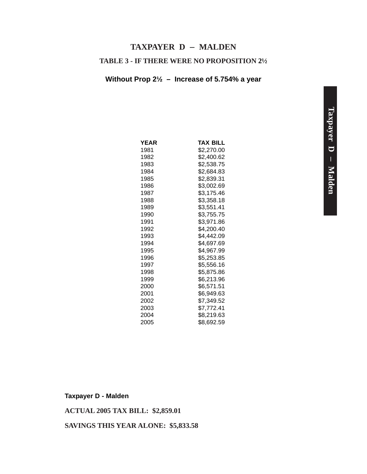#### **TAXPAYER D** – **MALDEN**

#### **TABLE 3 - IF THERE WERE NO PROPOSITION 2½**

#### **Without Prop 2½ – Increase of 5.754% a year**

| <b>YEAR</b> | TAX BILL   |
|-------------|------------|
| 1981        | \$2,270.00 |
| 1982        | \$2,400.62 |
| 1983        | \$2,538.75 |
| 1984        | \$2,684.83 |
| 1985        | \$2,839.31 |
| 1986        | \$3,002.69 |
| 1987        | \$3,175.46 |
| 1988        | \$3,358.18 |
| 1989        | \$3,551.41 |
| 1990        | \$3,755.75 |
| 1991        | \$3,971.86 |
| 1992        | \$4,200.40 |
| 1993        | \$4,442.09 |
| 1994        | \$4,697.69 |
| 1995        | \$4,967.99 |
| 1996        | \$5,253.85 |
| 1997        | \$5,556.16 |
| 1998        | \$5,875.86 |
| 1999        | \$6,213.96 |
| 2000        | \$6,571.51 |
| 2001        | \$6,949.63 |
| 2002        | \$7,349.52 |
| 2003        | \$7,772.41 |
| 2004        | \$8,219.63 |
| 2005        | \$8,692.59 |

**Taxpayer D - Malden**

**ACTUAL 2005 TAX BILL: \$2,859.01**

**SAVINGS THIS YEAR ALONE: \$5,833.58**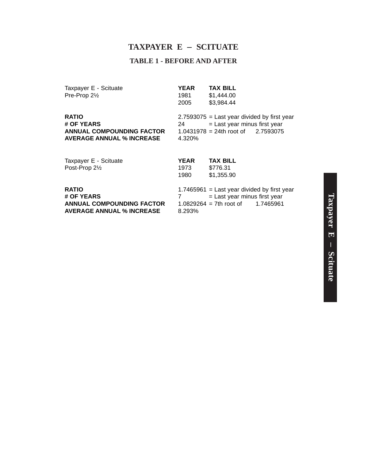#### **TAXPAYER E** – **SCITUATE**

#### **TABLE 1 - BEFORE AND AFTER**

Taxpayer E - Scituate **YEAR** TAX BILL

Pre-Prop 2½ 1981 \$1,444.00<br>2005 \$3,984.44 \$3,984.44

**AVERAGE ANNUAL % INCREASE** 

**RATIO** 2.7593075 = Last year divided by first year **# OF YEARS** 24 = Last year minus first year<br>ANNUAL COMPOUNDING FACTOR 1.0431978 = 24th root of 2.7593075 **ANNUAL COMPOUNDING FACTOR** 1.0431978 = 24th root of 2.7593075<br>**AVERAGE ANNUAL % INCREASE** 4.320%

| Taxpayer E - Scituate            | <b>YEAR</b> | <b>TAX BILL</b>                               |  |
|----------------------------------|-------------|-----------------------------------------------|--|
| Post-Prop 21/2                   | 1973        | \$776.31                                      |  |
|                                  | 1980        | \$1,355.90                                    |  |
| <b>RATIO</b>                     |             | $1.7465961$ = Last year divided by first year |  |
| # OF YEARS                       |             | = Last year minus first year                  |  |
| <b>ANNUAL COMPOUNDING FACTOR</b> |             | $1.0829264 = 7$ th root of 1.7465961          |  |
| <b>AVERAGE ANNUAL % INCREASE</b> | 8.293%      |                                               |  |
|                                  |             |                                               |  |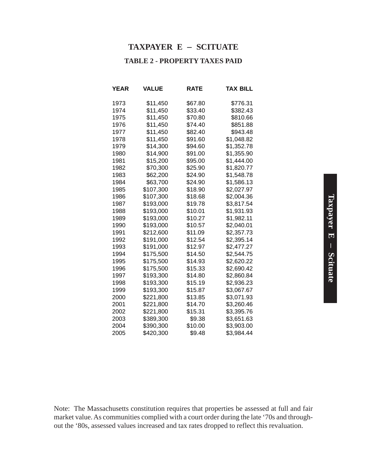#### **TAXPAYER E** – **SCITUATE**

#### **TABLE 2 - PROPERTY TAXES PAID**

| YEAR | <b>VALUE</b> | <b>RATE</b> | TAX BILL   |
|------|--------------|-------------|------------|
| 1973 | \$11,450     | \$67.80     | \$776.31   |
| 1974 | \$11,450     | \$33.40     | \$382.43   |
| 1975 | \$11,450     | \$70.80     | \$810.66   |
| 1976 | \$11,450     | \$74.40     | \$851.88   |
| 1977 | \$11,450     | \$82.40     | \$943.48   |
| 1978 | \$11,450     | \$91.60     | \$1,048.82 |
| 1979 | \$14,300     | \$94.60     | \$1,352.78 |
| 1980 | \$14,900     | \$91.00     | \$1,355.90 |
| 1981 | \$15,200     | \$95.00     | \$1,444.00 |
| 1982 | \$70,300     | \$25.90     | \$1,820.77 |
| 1983 | \$62,200     | \$24.90     | \$1,548.78 |
| 1984 | \$63,700     | \$24.90     | \$1,586.13 |
| 1985 | \$107,300    | \$18.90     | \$2,027.97 |
| 1986 | \$107,300    | \$18.68     | \$2,004.36 |
| 1987 | \$193,000    | \$19.78     | \$3,817.54 |
| 1988 | \$193,000    | \$10.01     | \$1,931.93 |
| 1989 | \$193,000    | \$10.27     | \$1,982.11 |
| 1990 | \$193,000    | \$10.57     | \$2,040.01 |
| 1991 | \$212,600    | \$11.09     | \$2,357.73 |
| 1992 | \$191,000    | \$12.54     | \$2,395.14 |
| 1993 | \$191,000    | \$12.97     | \$2,477.27 |
| 1994 | \$175,500    | \$14.50     | \$2,544.75 |
| 1995 | \$175,500    | \$14.93     | \$2,620.22 |
| 1996 | \$175,500    | \$15.33     | \$2,690.42 |
| 1997 | \$193,300    | \$14.80     | \$2,860.84 |
| 1998 | \$193,300    | \$15.19     | \$2,936.23 |
| 1999 | \$193,300    | \$15.87     | \$3,067.67 |
| 2000 | \$221,800    | \$13.85     | \$3,071.93 |
| 2001 | \$221,800    | \$14.70     | \$3,260.46 |
| 2002 | \$221,800    | \$15.31     | \$3,395.76 |
| 2003 | \$389.300    | \$9.38      | \$3,651.63 |
| 2004 | \$390,300    | \$10.00     | \$3,903.00 |
| 2005 | \$420,300    | \$9.48      | \$3,984.44 |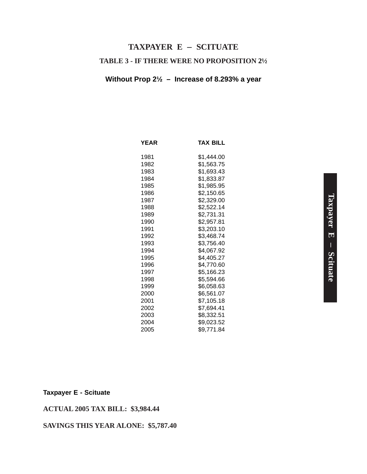# **TABLE 3 - IF THERE WERE NO PROPOSITION 2½ TAXPAYER E** – **SCITUATE**

#### **Without Prop 2½ – Increase of 8.293% a year**

| <b>YEAR</b> | <b>TAX BILL</b> |
|-------------|-----------------|
| 1981        | \$1,444.00      |
| 1982        | \$1,563.75      |
| 1983        | \$1,693.43      |
| 1984        | \$1,833.87      |
| 1985        | \$1,985.95      |
| 1986        | \$2,150.65      |
| 1987        | \$2,329.00      |
| 1988        | \$2,522.14      |
| 1989        | \$2,731.31      |
| 1990        | \$2,957.81      |
| 1991        | \$3,203.10      |
| 1992        | \$3,468.74      |
| 1993        | \$3,756.40      |
| 1994        | \$4,067.92      |
| 1995        | \$4,405.27      |
| 1996        | \$4,770.60      |
| 1997        | \$5,166.23      |
| 1998        | \$5,594.66      |
| 1999        | \$6,058.63      |
| 2000        | \$6,561.07      |
| 2001        | \$7,105.18      |
| 2002        | \$7,694.41      |
| 2003        | \$8,332.51      |
| 2004        | \$9,023.52      |
| 2005        | \$9.771.84      |

#### **Taxpayer E - Scituate**

#### **ACTUAL 2005 TAX BILL: \$3,984.44**

#### **SAVINGS THIS YEAR ALONE: \$5,787.40**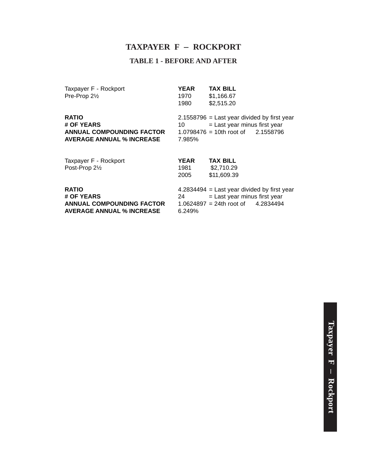#### **TAXPAYER F** – **ROCKPORT**

#### **TABLE 1 - BEFORE AND AFTER**

Taxpayer F - Rockport **YEAR TAX BILL**<br>Pre-Prop 2<sup>1</sup>/<sub>2</sub> *Pre-Prop* 2<sup>1</sup>/<sub>2</sub> *Pre-Prop* 2<sup>1</sup>/<sub>2</sub> *Pre-Prop* 2<sup>1</sup>/<sub>2</sub> *Pre-Prop* 2<sup>1</sup>/<sub>2</sub> *Pre-Prop* 2<sup>1</sup>/<sub>2</sub> *Pre-Prop* 2<sup>1</sup>/<sub>2</sub> *Pre-Prop* 2<sup>1</sup>/<sub>2</sub> *Pre-Prop* 2<sup>1</sup>/<sub>2</sub> *Pre-P*  $Pre-Prop 2<sub>2</sub>$ 

1980 \$2,515.20

**ANNUAL COMPOUNDING FACTOR AVERAGE ANNUAL % INCREASE** 7.985%

**RATIO**<br>  $\begin{array}{r} \textbf{RATION} = \text{Last year} \\ \textbf{10} = \text{Last year} \\ \text{Last year} \end{array}$  year  $10 =$  Last year minus first year<br> $1.0798476 = 10$ th root of  $2.1558796$ 

| Taxpayer F - Rockport<br>Post-Prop 21/2                                                            | <b>YEAR</b><br>1981<br>2005 | <b>TAX BILL</b><br>\$2,710.29<br>\$11,609.39                                                                             |
|----------------------------------------------------------------------------------------------------|-----------------------------|--------------------------------------------------------------------------------------------------------------------------|
| <b>RATIO</b><br># OF YEARS<br><b>ANNUAL COMPOUNDING FACTOR</b><br><b>AVERAGE ANNUAL % INCREASE</b> | 24<br>6.249%                | $4.2834494$ = Last year divided by first year<br>$=$ Last year minus first year<br>$1.0624897 = 24$ th root of 4.2834494 |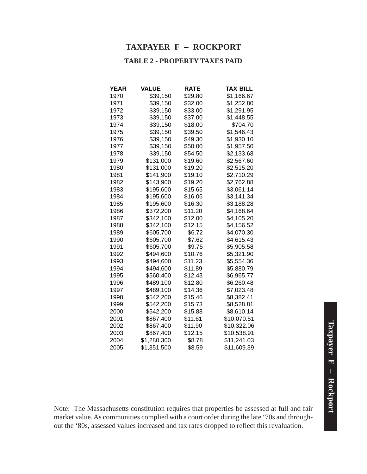#### **TAXPAYER F** – **ROCKPORT**

#### **TABLE 2 - PROPERTY TAXES PAID**

| <b>YEAR</b> | <b>VALUE</b> | <b>RATE</b> | <b>TAX BILL</b> |
|-------------|--------------|-------------|-----------------|
| 1970        | \$39,150     | \$29.80     | \$1,166.67      |
| 1971        | \$39,150     | \$32.00     | \$1,252.80      |
| 1972        | \$39,150     | \$33.00     | \$1,291.95      |
| 1973        | \$39,150     | \$37.00     | \$1,448.55      |
| 1974        | \$39,150     | \$18.00     | \$704.70        |
| 1975        | \$39,150     | \$39.50     | \$1,546.43      |
| 1976        | \$39,150     | \$49.30     | \$1,930.10      |
| 1977        | \$39,150     | \$50.00     | \$1,957.50      |
| 1978        | \$39,150     | \$54.50     | \$2,133.68      |
| 1979        | \$131,000    | \$19.60     | \$2,567.60      |
| 1980        | \$131,000    | \$19.20     | \$2,515.20      |
| 1981        | \$141,900    | \$19.10     | \$2,710.29      |
| 1982        | \$143,900    | \$19.20     | \$2,762.88      |
| 1983        | \$195,600    | \$15.65     | \$3,061.14      |
| 1984        | \$195,600    | \$16.06     | \$3,141.34      |
| 1985        | \$195,600    | \$16.30     | \$3,188.28      |
| 1986        | \$372,200    | \$11.20     | \$4,168.64      |
| 1987        | \$342,100    | \$12.00     | \$4,105.20      |
| 1988        | \$342,100    | \$12.15     | \$4,156.52      |
| 1989        | \$605,700    | \$6.72      | \$4,070.30      |
| 1990        | \$605,700    | \$7.62      | \$4,615.43      |
| 1991        | \$605,700    | \$9.75      | \$5,905.58      |
| 1992        | \$494,600    | \$10.76     | \$5,321.90      |
| 1993        | \$494,600    | \$11.23     | \$5,554.36      |
| 1994        | \$494,600    | \$11.89     | \$5,880.79      |
| 1995        | \$560,400    | \$12.43     | \$6,965.77      |
| 1996        | \$489,100    | \$12.80     | \$6,260.48      |
| 1997        | \$489,100    | \$14.36     | \$7,023.48      |
| 1998        | \$542,200    | \$15.46     | \$8,382.41      |
| 1999        | \$542,200    | \$15.73     | \$8,528.81      |
| 2000        | \$542,200    | \$15.88     | \$8,610.14      |
| 2001        | \$867,400    | \$11.61     | \$10,070.51     |
| 2002        | \$867,400    | \$11.90     | \$10,322.06     |
| 2003        | \$867,400    | \$12.15     | \$10,538.91     |
| 2004        | \$1,280,300  | \$8.78      | \$11,241.03     |
| 2005        | \$1,351,500  | \$8.59      | \$11,609.39     |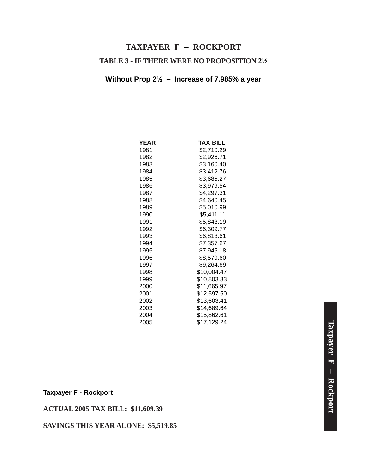# **TAXPAYER F** – **ROCKPORT**

#### **TABLE 3 - IF THERE WERE NO PROPOSITION 2½**

#### **Without Prop 2½ – Increase of 7.985% a year**

| YEAR | TAX BILL    |
|------|-------------|
| 1981 | \$2,710.29  |
| 1982 | \$2,926.71  |
| 1983 | \$3,160.40  |
| 1984 | \$3,412.76  |
| 1985 | \$3,685.27  |
| 1986 | \$3,979.54  |
| 1987 | \$4,297.31  |
| 1988 | \$4,640.45  |
| 1989 | \$5,010.99  |
| 1990 | \$5,411.11  |
| 1991 | \$5,843.19  |
| 1992 | \$6,309.77  |
| 1993 | \$6,813.61  |
| 1994 | \$7,357.67  |
| 1995 | \$7,945.18  |
| 1996 | \$8,579.60  |
| 1997 | \$9,264.69  |
| 1998 | \$10,004.47 |
| 1999 | \$10,803.33 |
| 2000 | \$11,665.97 |
| 2001 | \$12,597.50 |
| 2002 | \$13,603.41 |
| 2003 | \$14,689.64 |
| 2004 | \$15,862.61 |
| 2005 | \$17,129.24 |

#### **Taxpayer F - Rockport**

#### **ACTUAL 2005 TAX BILL: \$11,609.39**

#### **SAVINGS THIS YEAR ALONE: \$5,519.85**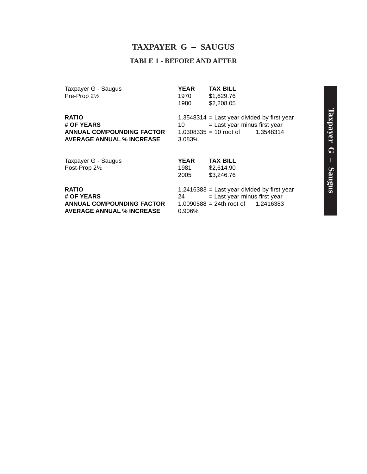#### **TAXPAYER G** – **SAUGUS**

#### **TABLE 1 - BEFORE AND AFTER**

Taxpayer G - Saugus<br> **Pre-Prop 2**<sup>/2</sup><br> **Pre-Prop 2**<sup>/2</sup><br> **Pre-Prop 2**<sup>/2</sup>  $Pre-Prop 2<sub>2</sub>$ 

1980 \$2,208.05

**ANNUAL COMPOUNDING FACTOR AVERAGE ANNUAL % INCREASE** 3.083%

**RATIO**<br> **# OF YEARS**<br> **# OF YEARS**<br> **10** The Last year minus first year  $10 =$  Last year minus first year<br> $1.0308335 = 10$  root of  $1.3548314$ 

| Taxpayer G - Saugus | <b>YEAR</b> | <b>TAX BILL</b>                        |
|---------------------|-------------|----------------------------------------|
| Post-Prop 21/2      | 1981        | \$2,614.90                             |
|                     | 2005        | \$3,246.76                             |
| <b>RATIO</b>        |             | 1.2416383 = Last year divided by first |
| # OF YEARS          | 24          | = Last year minus first year           |

**AVERAGE ANNUAL % INCREASE** 

first year **ANNUAL COMPOUNDING FACTOR** 1.0090588 = 24th root of 1.2416383<br>**AVERAGE ANNUAL % INCREASE** 0.906%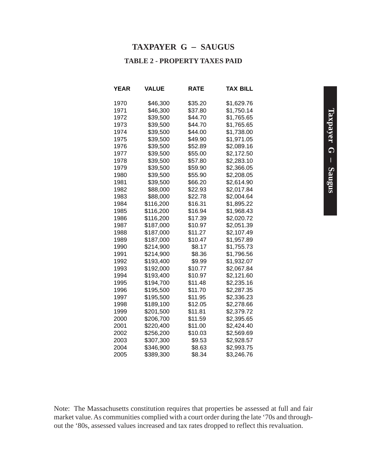#### **TAXPAYER G** – **SAUGUS**

#### **TABLE 2 - PROPERTY TAXES PAID**

| YEAR | VALUE     | RATE    | TAX BILL   |
|------|-----------|---------|------------|
| 1970 | \$46,300  | \$35.20 | \$1,629.76 |
| 1971 | \$46,300  | \$37.80 | \$1,750.14 |
| 1972 | \$39,500  | \$44.70 | \$1,765.65 |
| 1973 | \$39,500  | \$44.70 | \$1,765.65 |
| 1974 | \$39,500  | \$44.00 | \$1,738.00 |
| 1975 | \$39,500  | \$49.90 | \$1,971.05 |
| 1976 | \$39,500  | \$52.89 | \$2,089.16 |
| 1977 | \$39,500  | \$55.00 | \$2,172.50 |
| 1978 | \$39,500  | \$57.80 | \$2,283.10 |
| 1979 | \$39,500  | \$59.90 | \$2,366.05 |
| 1980 | \$39,500  | \$55.90 | \$2,208.05 |
| 1981 | \$39,500  | \$66.20 | \$2,614.90 |
| 1982 | \$88,000  | \$22.93 | \$2,017.84 |
| 1983 | \$88,000  | \$22.78 | \$2,004.64 |
| 1984 | \$116,200 | \$16.31 | \$1,895.22 |
| 1985 | \$116,200 | \$16.94 | \$1,968.43 |
| 1986 | \$116,200 | \$17.39 | \$2,020.72 |
| 1987 | \$187,000 | \$10.97 | \$2,051.39 |
| 1988 | \$187,000 | \$11.27 | \$2,107.49 |
| 1989 | \$187,000 | \$10.47 | \$1,957.89 |
| 1990 | \$214,900 | \$8.17  | \$1,755.73 |
| 1991 | \$214,900 | \$8.36  | \$1,796.56 |
| 1992 | \$193,400 | \$9.99  | \$1,932.07 |
| 1993 | \$192,000 | \$10.77 | \$2,067.84 |
| 1994 | \$193,400 | \$10.97 | \$2,121.60 |
| 1995 | \$194,700 | \$11.48 | \$2,235.16 |
| 1996 | \$195,500 | \$11.70 | \$2,287.35 |
| 1997 | \$195,500 | \$11.95 | \$2,336.23 |
| 1998 | \$189,100 | \$12.05 | \$2,278.66 |
| 1999 | \$201,500 | \$11.81 | \$2,379.72 |
| 2000 | \$206,700 | \$11.59 | \$2,395.65 |
| 2001 | \$220,400 | \$11.00 | \$2,424.40 |
| 2002 | \$256,200 | \$10.03 | \$2,569.69 |
| 2003 | \$307,300 | \$9.53  | \$2,928.57 |
| 2004 | \$346,900 | \$8.63  | \$2,993.75 |
| 2005 | \$389,300 | \$8.34  | \$3,246.76 |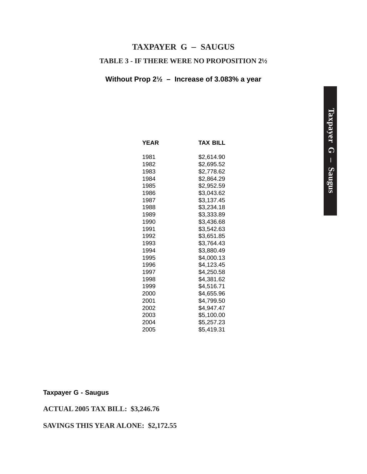#### **TAXPAYER G** – **SAUGUS**

#### **TABLE 3 - IF THERE WERE NO PROPOSITION 2½**

#### **Without Prop 2½ – Increase of 3.083% a year**

| <b>YEAR</b> | <b>TAX BILL</b> |
|-------------|-----------------|
| 1981        | \$2,614.90      |
| 1982        | \$2,695.52      |
| 1983        | \$2,778.62      |
| 1984        | \$2.864.29      |
| 1985        | \$2,952.59      |
| 1986        | \$3,043.62      |
| 1987        | \$3,137.45      |
| 1988        | \$3.234.18      |
| 1989        | \$3,333.89      |
| 1990        | \$3,436.68      |
| 1991        | \$3,542.63      |
| 1992        | \$3,651.85      |
| 1993        | \$3,764.43      |
| 1994        | \$3,880.49      |
| 1995        | \$4,000.13      |
| 1996        | \$4,123.45      |
| 1997        | \$4,250.58      |
| 1998        | \$4,381.62      |
| 1999        | \$4.516.71      |
| 2000        | \$4,655.96      |
| 2001        | \$4,799.50      |
| 2002        | \$4,947.47      |
| 2003        | \$5,100.00      |
| 2004        | \$5,257.23      |
| 2005        | \$5,419.31      |

#### **Taxpayer G - Saugus**

#### **ACTUAL 2005 TAX BILL: \$3,246.76**

#### **SAVINGS THIS YEAR ALONE: \$2,172.55**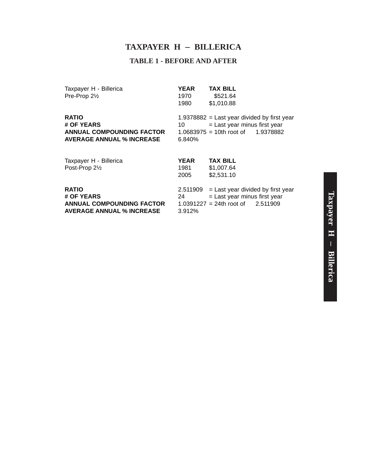#### **TAXPAYER H** – **BILLERICA**

#### **TABLE 1 - BEFORE AND AFTER**

| Taxpayer H - Billerica    |  |
|---------------------------|--|
| Pre-Prop 2 <sup>1/2</sup> |  |

**YEAR TAX BILL**<br>1970 \$521.64  $$521.64$ 1980 \$1,010.88

**ANNUAL COMPOUNDING FACTOR AVERAGE ANNUAL % INCREASE** 6.840%

**RATIO** 1.9378882 = Last year divided by first year<br> **# OF YEARS** 10 = Last year minus first year  $10 =$  Last year minus first year<br> $1.0683975 = 10$ th root of  $1.9378882$ 

| Taxpayer H - Billerica           | <b>YEAR</b> | <b>TAX BILL</b>                              |  |
|----------------------------------|-------------|----------------------------------------------|--|
| Post-Prop 21/2                   | 1981        | \$1,007.64                                   |  |
|                                  | 2005        | \$2,531.10                                   |  |
| <b>RATIO</b>                     |             | $2.511909$ = Last year divided by first year |  |
| # OF YEARS                       | 24          | = Last year minus first year                 |  |
| <b>ANNUAL COMPOUNDING FACTOR</b> |             | $1.0391227 = 24$ th root of 2.511909         |  |
| <b>AVERAGE ANNUAL % INCREASE</b> | 3.912%      |                                              |  |
|                                  |             |                                              |  |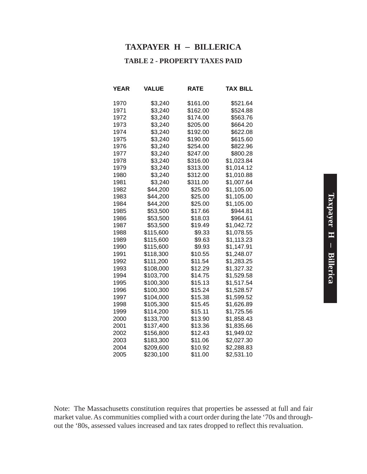#### **TAXPAYER H** – **BILLERICA**

#### **TABLE 2 - PROPERTY TAXES PAID**

| YEAR | VALUE     | <b>RATE</b> | TAX BILL   |
|------|-----------|-------------|------------|
| 1970 | \$3,240   | \$161.00    | \$521.64   |
| 1971 | \$3,240   | \$162.00    | \$524.88   |
| 1972 | \$3,240   | \$174.00    | \$563.76   |
| 1973 | \$3,240   | \$205.00    | \$664.20   |
| 1974 | \$3,240   | \$192.00    | \$622.08   |
| 1975 | \$3,240   | \$190.00    | \$615.60   |
| 1976 | \$3,240   | \$254.00    | \$822.96   |
| 1977 | \$3,240   | \$247.00    | \$800.28   |
| 1978 | \$3,240   | \$316.00    | \$1,023.84 |
| 1979 | \$3,240   | \$313.00    | \$1,014.12 |
| 1980 | \$3,240   | \$312.00    | \$1,010.88 |
| 1981 | \$3,240   | \$311.00    | \$1,007.64 |
| 1982 | \$44,200  | \$25.00     | \$1,105.00 |
| 1983 | \$44,200  | \$25.00     | \$1,105.00 |
| 1984 | \$44,200  | \$25.00     | \$1,105.00 |
| 1985 | \$53,500  | \$17.66     | \$944.81   |
| 1986 | \$53,500  | \$18.03     | \$964.61   |
| 1987 | \$53,500  | \$19.49     | \$1,042.72 |
| 1988 | \$115,600 | \$9.33      | \$1,078.55 |
| 1989 | \$115,600 | \$9.63      | \$1,113.23 |
| 1990 | \$115,600 | \$9.93      | \$1,147.91 |
| 1991 | \$118,300 | \$10.55     | \$1,248.07 |
| 1992 | \$111,200 | \$11.54     | \$1,283.25 |
| 1993 | \$108,000 | \$12.29     | \$1,327.32 |
| 1994 | \$103,700 | \$14.75     | \$1,529.58 |
| 1995 | \$100,300 | \$15.13     | \$1,517.54 |
| 1996 | \$100,300 | \$15.24     | \$1,528.57 |
| 1997 | \$104,000 | \$15.38     | \$1,599.52 |
| 1998 | \$105,300 | \$15.45     | \$1,626.89 |
| 1999 | \$114,200 | \$15.11     | \$1,725.56 |
| 2000 | \$133,700 | \$13.90     | \$1,858.43 |
| 2001 | \$137,400 | \$13.36     | \$1,835.66 |
| 2002 | \$156,800 | \$12.43     | \$1,949.02 |
| 2003 | \$183,300 | \$11.06     | \$2,027.30 |
| 2004 | \$209,600 | \$10.92     | \$2,288.83 |
| 2005 | \$230,100 | \$11.00     | \$2,531.10 |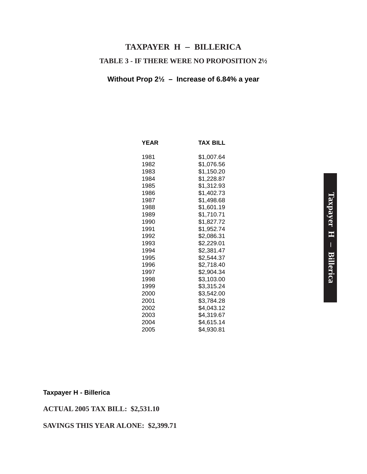## **TABLE 3 - IF THERE WERE NO PROPOSITION 2½ TAXPAYER H** – **BILLERICA**

#### **Without Prop 2½ – Increase of 6.84% a year**

| <b>YEAR</b> | <b>TAX BILL</b> |
|-------------|-----------------|
| 1981        | \$1,007.64      |
| 1982        | \$1,076.56      |
| 1983        | \$1,150.20      |
| 1984        | \$1,228.87      |
| 1985        | \$1,312.93      |
| 1986        | \$1,402.73      |
| 1987        | \$1,498.68      |
| 1988        | \$1,601.19      |
| 1989        | \$1,710.71      |
| 1990        | \$1,827.72      |
| 1991        | \$1,952.74      |
| 1992        | \$2,086.31      |
| 1993        | \$2,229.01      |
| 1994        | \$2,381.47      |
| 1995        | \$2,544.37      |
| 1996        | \$2,718.40      |
| 1997        | \$2,904.34      |
| 1998        | \$3,103.00      |
| 1999        | \$3,315.24      |
| 2000        | \$3,542.00      |
| 2001        | \$3,784.28      |
| 2002        | \$4,043.12      |
| 2003        | \$4,319.67      |
| 2004        | \$4,615.14      |
| 2005        | \$4,930.81      |

#### **Taxpayer H - Billerica**

#### **ACTUAL 2005 TAX BILL: \$2,531.10**

#### **SAVINGS THIS YEAR ALONE: \$2,399.71**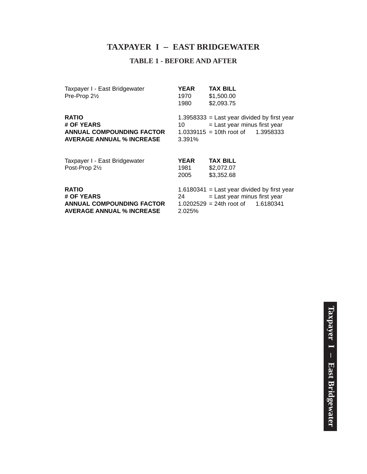### **TAXPAYER I** – **EAST BRIDGEWATER**

#### **TABLE 1 - BEFORE AND AFTER**

| Taxpayer I - East Bridgewater<br>Pre-Prop 21/2                                                     | <b>YEAR</b><br>1970<br>1980 | <b>TAX BILL</b><br>\$1,500.00<br>\$2,093.75                                                                                 |
|----------------------------------------------------------------------------------------------------|-----------------------------|-----------------------------------------------------------------------------------------------------------------------------|
| <b>RATIO</b><br># OF YEARS<br>ANNUAL COMPOUNDING FACTOR<br><b>AVERAGE ANNUAL % INCREASE</b>        | 10<br>3.391%                | $1.3958333$ = Last year divided by first year<br>$=$ Last year minus first year<br>$1.0339115 = 10$ th root of 1.3958333    |
| Taxpayer I - East Bridgewater<br>Post-Prop 21/2                                                    | <b>YEAR</b><br>1981<br>2005 | <b>TAX BILL</b><br>\$2,072.07<br>\$3,352.68                                                                                 |
| <b>RATIO</b><br># OF YEARS<br><b>ANNUAL COMPOUNDING FACTOR</b><br><b>AVERAGE ANNUAL % INCREASE</b> | 24<br>2.025%                | $1.6180341$ = Last year divided by first year<br>$=$ Last year minus first year<br>$1.0202529 = 24$ th root of<br>1.6180341 |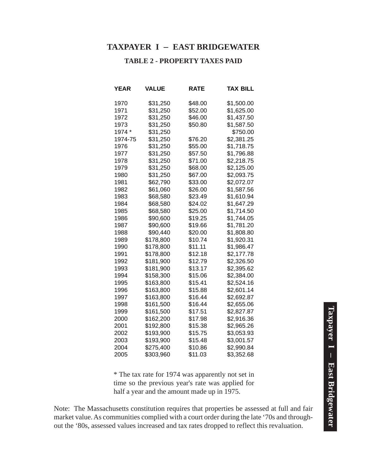#### **TAXPAYER I** – **EAST BRIDGEWATER**

#### **TABLE 2 - PROPERTY TAXES PAID**

| YEAR    | VALUE     | RATE    | TAX BILL   |
|---------|-----------|---------|------------|
| 1970    | \$31,250  | \$48.00 | \$1,500.00 |
| 1971    | \$31,250  | \$52.00 | \$1,625.00 |
| 1972    | \$31,250  | \$46.00 | \$1,437.50 |
| 1973    | \$31,250  | \$50.80 | \$1,587.50 |
| 1974 *  | \$31,250  |         | \$750.00   |
| 1974-75 | \$31,250  | \$76.20 | \$2,381.25 |
| 1976    | \$31,250  | \$55.00 | \$1,718.75 |
| 1977    | \$31,250  | \$57.50 | \$1,796.88 |
| 1978    | \$31,250  | \$71.00 | \$2,218.75 |
| 1979    | \$31,250  | \$68.00 | \$2,125.00 |
| 1980    | \$31,250  | \$67.00 | \$2,093.75 |
| 1981    | \$62,790  | \$33.00 | \$2,072.07 |
| 1982    | \$61,060  | \$26.00 | \$1,587.56 |
| 1983    | \$68,580  | \$23.49 | \$1,610.94 |
| 1984    | \$68,580  | \$24.02 | \$1,647.29 |
| 1985    | \$68,580  | \$25.00 | \$1,714.50 |
| 1986    | \$90,600  | \$19.25 | \$1,744.05 |
| 1987    | \$90,600  | \$19.66 | \$1,781.20 |
| 1988    | \$90,440  | \$20.00 | \$1,808.80 |
| 1989    | \$178,800 | \$10.74 | \$1,920.31 |
| 1990    | \$178,800 | \$11.11 | \$1,986.47 |
| 1991    | \$178,800 | \$12.18 | \$2,177.78 |
| 1992    | \$181,900 | \$12.79 | \$2,326.50 |
| 1993    | \$181,900 | \$13.17 | \$2,395.62 |
| 1994    | \$158,300 | \$15.06 | \$2,384.00 |
| 1995    | \$163,800 | \$15.41 | \$2,524.16 |
| 1996    | \$163,800 | \$15.88 | \$2,601.14 |
| 1997    | \$163,800 | \$16.44 | \$2,692.87 |
| 1998    | \$161,500 | \$16.44 | \$2,655.06 |
| 1999    | \$161,500 | \$17.51 | \$2,827.87 |
| 2000    | \$162,200 | \$17.98 | \$2,916.36 |
| 2001    | \$192,800 | \$15.38 | \$2,965.26 |
| 2002    | \$193,900 | \$15.75 | \$3,053.93 |
| 2003    | \$193,900 | \$15.48 | \$3,001.57 |
| 2004    | \$275,400 | \$10.86 | \$2,990.84 |
| 2005    | \$303,960 | \$11.03 | \$3,352.68 |

\* The tax rate for 1974 was apparently not set in time so the previous year's rate was applied for half a year and the amount made up in 1975.